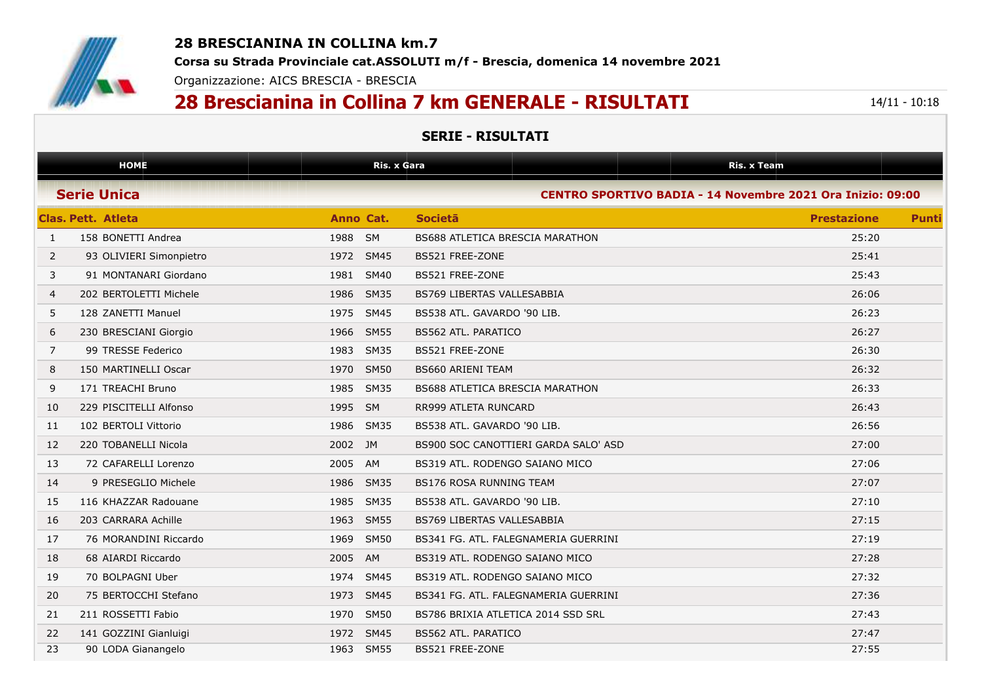

## **28 BRESCIANINA IN COLLINA km.7**

**Corsa su Strada Provinciale cat.ASSOLUTI m/f - Brescia, domenica 14 novembre 2021**

Organizzazione: AICS BRESCIA - BRESCIA

## **28 Brescianina in Collina 7 km GENERALE - RISULTATI** 14/11 - 10:18

## **SERIE - RISULTATI**

|                    | <b>HOME</b>             |           | <b>Ris. x Gara</b> |                                                            | Ris. x Team        |              |  |
|--------------------|-------------------------|-----------|--------------------|------------------------------------------------------------|--------------------|--------------|--|
| <b>Serie Unica</b> |                         |           |                    | CENTRO SPORTIVO BADIA - 14 Novembre 2021 Ora Inizio: 09:00 |                    |              |  |
|                    | Clas, Pett. Atleta      | Anno Cat. |                    | <b>Societa</b>                                             | <b>Prestazione</b> | <b>Punti</b> |  |
| $\mathbf{1}$       | 158 BONETTI Andrea      | 1988 SM   |                    | BS688 ATLETICA BRESCIA MARATHON                            | 25:20              |              |  |
| 2                  | 93 OLIVIERI Simonpietro | 1972 SM45 |                    | <b>BS521 FREE-ZONE</b>                                     | 25:41              |              |  |
| 3                  | 91 MONTANARI Giordano   | 1981      | <b>SM40</b>        | BS521 FREE-ZONE                                            | 25:43              |              |  |
| 4                  | 202 BERTOLETTI Michele  | 1986 SM35 |                    | BS769 LIBERTAS VALLESABBIA                                 | 26:06              |              |  |
| 5                  | 128 ZANETTI Manuel      | 1975      | <b>SM45</b>        | BS538 ATL. GAVARDO '90 LIB.                                | 26:23              |              |  |
| 6                  | 230 BRESCIANI Giorgio   | 1966 SM55 |                    | <b>BS562 ATL. PARATICO</b>                                 | 26:27              |              |  |
| 7                  | 99 TRESSE Federico      | 1983 SM35 |                    | BS521 FREE-ZONE                                            | 26:30              |              |  |
| 8                  | 150 MARTINELLI Oscar    | 1970 SM50 |                    | <b>BS660 ARIENI TEAM</b>                                   | 26:32              |              |  |
| 9                  | 171 TREACHI Bruno       | 1985 SM35 |                    | <b>BS688 ATLETICA BRESCIA MARATHON</b>                     | 26:33              |              |  |
| 10                 | 229 PISCITELLI Alfonso  | 1995 SM   |                    | RR999 ATLETA RUNCARD                                       | 26:43              |              |  |
| 11                 | 102 BERTOLI Vittorio    | 1986 SM35 |                    | BS538 ATL. GAVARDO '90 LIB.                                | 26:56              |              |  |
| 12                 | 220 TOBANELLI Nicola    | 2002 JM   |                    | BS900 SOC CANOTTIERI GARDA SALO' ASD                       | 27:00              |              |  |
| 13                 | 72 CAFARELLI Lorenzo    | 2005 AM   |                    | BS319 ATL. RODENGO SAIANO MICO                             | 27:06              |              |  |
| 14                 | 9 PRESEGLIO Michele     | 1986 SM35 |                    | <b>BS176 ROSA RUNNING TEAM</b>                             | 27:07              |              |  |
| 15                 | 116 KHAZZAR Radouane    | 1985      | <b>SM35</b>        | BS538 ATL. GAVARDO '90 LIB.                                | 27:10              |              |  |
| 16                 | 203 CARRARA Achille     | 1963 SM55 |                    | <b>BS769 LIBERTAS VALLESABBIA</b>                          | 27:15              |              |  |
| 17                 | 76 MORANDINI Riccardo   | 1969 SM50 |                    | BS341 FG. ATL. FALEGNAMERIA GUERRINI                       | 27:19              |              |  |
| 18                 | 68 AIARDI Riccardo      | 2005      | <b>AM</b>          | BS319 ATL. RODENGO SAIANO MICO                             | 27:28              |              |  |
| 19                 | 70 BOLPAGNI Uber        | 1974      | <b>SM45</b>        | BS319 ATL. RODENGO SAIANO MICO                             | 27:32              |              |  |
| 20                 | 75 BERTOCCHI Stefano    | 1973 SM45 |                    | BS341 FG. ATL. FALEGNAMERIA GUERRINI                       | 27:36              |              |  |
| 21                 | 211 ROSSETTI Fabio      | 1970 SM50 |                    | BS786 BRIXIA ATLETICA 2014 SSD SRL                         | 27:43              |              |  |
| 22                 | 141 GOZZINI Gianluigi   | 1972 SM45 |                    | <b>BS562 ATL, PARATICO</b>                                 | 27:47              |              |  |
| 23                 | 90 LODA Gianangelo      | 1963 SM55 |                    | BS521 FREE-ZONE                                            | 27:55              |              |  |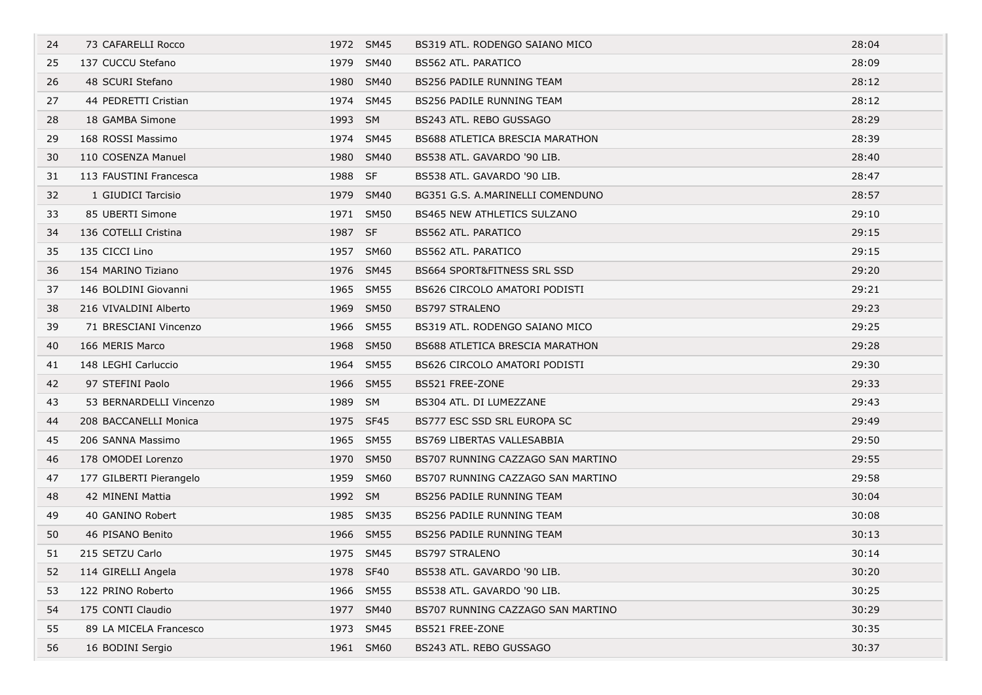| 24 | 73 CAFARELLI Rocco      |         | 1972 SM45 | BS319 ATL. RODENGO SAIANO MICO         | 28:04 |
|----|-------------------------|---------|-----------|----------------------------------------|-------|
| 25 | 137 CUCCU Stefano       |         | 1979 SM40 | BS562 ATL. PARATICO                    | 28:09 |
| 26 | 48 SCURI Stefano        |         | 1980 SM40 | <b>BS256 PADILE RUNNING TEAM</b>       | 28:12 |
| 27 | 44 PEDRETTI Cristian    |         | 1974 SM45 | BS256 PADILE RUNNING TEAM              | 28:12 |
| 28 | 18 GAMBA Simone         | 1993 SM |           | BS243 ATL. REBO GUSSAGO                | 28:29 |
| 29 | 168 ROSSI Massimo       |         | 1974 SM45 | <b>BS688 ATLETICA BRESCIA MARATHON</b> | 28:39 |
| 30 | 110 COSENZA Manuel      |         | 1980 SM40 | BS538 ATL. GAVARDO '90 LIB.            | 28:40 |
| 31 | 113 FAUSTINI Francesca  | 1988 SF |           | BS538 ATL. GAVARDO '90 LIB.            | 28:47 |
| 32 | 1 GIUDICI Tarcisio      |         | 1979 SM40 | BG351 G.S. A.MARINELLI COMENDUNO       | 28:57 |
| 33 | 85 UBERTI Simone        |         | 1971 SM50 | <b>BS465 NEW ATHLETICS SULZANO</b>     | 29:10 |
| 34 | 136 COTELLI Cristina    | 1987 SF |           | <b>BS562 ATL. PARATICO</b>             | 29:15 |
| 35 | 135 CICCI Lino          |         | 1957 SM60 | BS562 ATL. PARATICO                    | 29:15 |
| 36 | 154 MARINO Tiziano      |         | 1976 SM45 | <b>BS664 SPORT&amp;FITNESS SRL SSD</b> | 29:20 |
| 37 | 146 BOLDINI Giovanni    |         | 1965 SM55 | BS626 CIRCOLO AMATORI PODISTI          | 29:21 |
| 38 | 216 VIVALDINI Alberto   |         | 1969 SM50 | <b>BS797 STRALENO</b>                  | 29:23 |
| 39 | 71 BRESCIANI Vincenzo   |         | 1966 SM55 | BS319 ATL. RODENGO SAIANO MICO         | 29:25 |
| 40 | 166 MERIS Marco         |         | 1968 SM50 | <b>BS688 ATLETICA BRESCIA MARATHON</b> | 29:28 |
| 41 | 148 LEGHI Carluccio     |         | 1964 SM55 | BS626 CIRCOLO AMATORI PODISTI          | 29:30 |
| 42 | 97 STEFINI Paolo        |         | 1966 SM55 | BS521 FREE-ZONE                        | 29:33 |
| 43 | 53 BERNARDELLI Vincenzo | 1989 SM |           | BS304 ATL. DI LUMEZZANE                | 29:43 |
| 44 | 208 BACCANELLI Monica   |         | 1975 SF45 | BS777 ESC SSD SRL EUROPA SC            | 29:49 |
| 45 | 206 SANNA Massimo       |         | 1965 SM55 | BS769 LIBERTAS VALLESABBIA             | 29:50 |
| 46 | 178 OMODEI Lorenzo      |         | 1970 SM50 | BS707 RUNNING CAZZAGO SAN MARTINO      | 29:55 |
| 47 | 177 GILBERTI Pierangelo |         | 1959 SM60 | BS707 RUNNING CAZZAGO SAN MARTINO      | 29:58 |
| 48 | 42 MINENI Mattia        | 1992 SM |           | <b>BS256 PADILE RUNNING TEAM</b>       | 30:04 |
| 49 | 40 GANINO Robert        |         | 1985 SM35 | BS256 PADILE RUNNING TEAM              | 30:08 |
| 50 | 46 PISANO Benito        |         | 1966 SM55 | <b>BS256 PADILE RUNNING TEAM</b>       | 30:13 |
| 51 | 215 SETZU Carlo         |         | 1975 SM45 | <b>BS797 STRALENO</b>                  | 30:14 |
| 52 | 114 GIRELLI Angela      |         | 1978 SF40 | BS538 ATL. GAVARDO '90 LIB.            | 30:20 |
| 53 | 122 PRINO Roberto       |         | 1966 SM55 | BS538 ATL. GAVARDO '90 LIB.            | 30:25 |
| 54 | 175 CONTI Claudio       |         | 1977 SM40 | BS707 RUNNING CAZZAGO SAN MARTINO      | 30:29 |
| 55 | 89 LA MICELA Francesco  |         | 1973 SM45 | BS521 FREE-ZONE                        | 30:35 |
| 56 | 16 BODINI Sergio        |         | 1961 SM60 | BS243 ATL. REBO GUSSAGO                | 30:37 |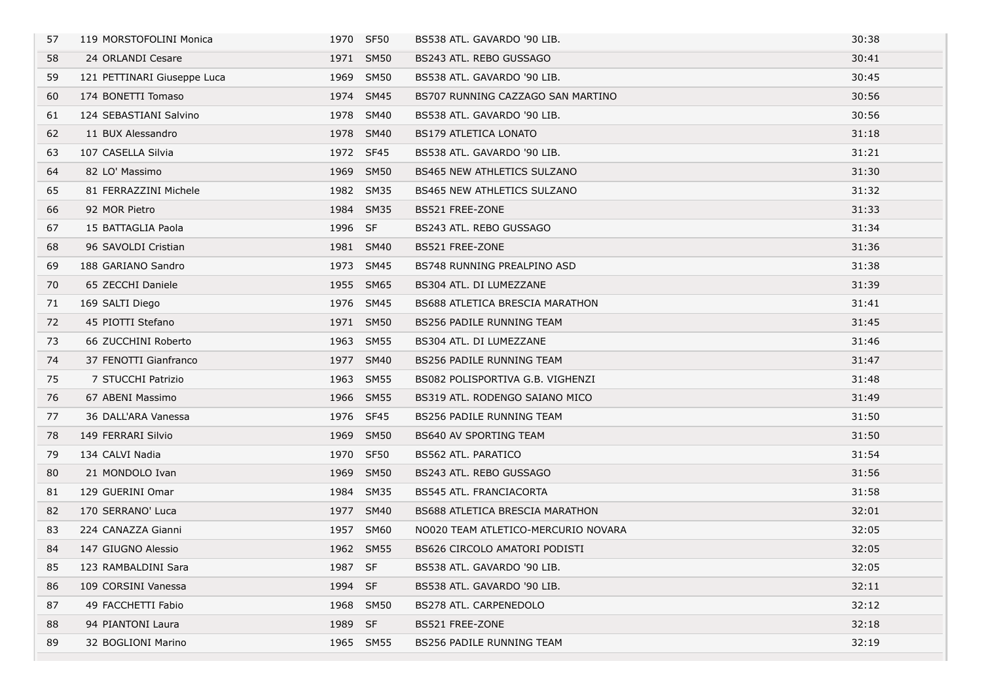| 57 | 119 MORSTOFOLINI Monica     |         | 1970 SF50   | BS538 ATL. GAVARDO '90 LIB.            | 30:38 |
|----|-----------------------------|---------|-------------|----------------------------------------|-------|
| 58 | 24 ORLANDI Cesare           | 1971    | <b>SM50</b> | BS243 ATL. REBO GUSSAGO                | 30:41 |
| 59 | 121 PETTINARI Giuseppe Luca |         | 1969 SM50   | BS538 ATL. GAVARDO '90 LIB.            | 30:45 |
| 60 | 174 BONETTI Tomaso          |         | 1974 SM45   | BS707 RUNNING CAZZAGO SAN MARTINO      | 30:56 |
| 61 | 124 SEBASTIANI Salvino      |         | 1978 SM40   | BS538 ATL. GAVARDO '90 LIB.            | 30:56 |
| 62 | 11 BUX Alessandro           |         | 1978 SM40   | <b>BS179 ATLETICA LONATO</b>           | 31:18 |
| 63 | 107 CASELLA Silvia          |         | 1972 SF45   | BS538 ATL, GAVARDO '90 LIB.            | 31:21 |
| 64 | 82 LO' Massimo              |         | 1969 SM50   | <b>BS465 NEW ATHLETICS SULZANO</b>     | 31:30 |
| 65 | 81 FERRAZZINI Michele       |         | 1982 SM35   | <b>BS465 NEW ATHLETICS SULZANO</b>     | 31:32 |
| 66 | 92 MOR Pietro               |         | 1984 SM35   | BS521 FREE-ZONE                        | 31:33 |
| 67 | 15 BATTAGLIA Paola          | 1996 SF |             | BS243 ATL. REBO GUSSAGO                | 31:34 |
| 68 | 96 SAVOLDI Cristian         | 1981    | SM40        | BS521 FREE-ZONE                        | 31:36 |
| 69 | 188 GARIANO Sandro          |         | 1973 SM45   | BS748 RUNNING PREALPINO ASD            | 31:38 |
| 70 | 65 ZECCHI Daniele           |         | 1955 SM65   | BS304 ATL. DI LUMEZZANE                | 31:39 |
| 71 | 169 SALTI Diego             |         | 1976 SM45   | <b>BS688 ATLETICA BRESCIA MARATHON</b> | 31:41 |
| 72 | 45 PIOTTI Stefano           |         | 1971 SM50   | BS256 PADILE RUNNING TEAM              | 31:45 |
| 73 | 66 ZUCCHINI Roberto         |         | 1963 SM55   | BS304 ATL. DI LUMEZZANE                | 31:46 |
| 74 | 37 FENOTTI Gianfranco       |         | 1977 SM40   | BS256 PADILE RUNNING TEAM              | 31:47 |
| 75 | 7 STUCCHI Patrizio          |         | 1963 SM55   | BS082 POLISPORTIVA G.B. VIGHENZI       | 31:48 |
| 76 | 67 ABENI Massimo            |         | 1966 SM55   | BS319 ATL. RODENGO SAIANO MICO         | 31:49 |
| 77 | 36 DALL'ARA Vanessa         |         | 1976 SF45   | BS256 PADILE RUNNING TEAM              | 31:50 |
| 78 | 149 FERRARI Silvio          | 1969    | <b>SM50</b> | <b>BS640 AV SPORTING TEAM</b>          | 31:50 |
| 79 | 134 CALVI Nadia             |         | 1970 SF50   | BS562 ATL. PARATICO                    | 31:54 |
| 80 | 21 MONDOLO Ivan             |         | 1969 SM50   | BS243 ATL. REBO GUSSAGO                | 31:56 |
| 81 | 129 GUERINI Omar            | 1984    | <b>SM35</b> | <b>BS545 ATL. FRANCIACORTA</b>         | 31:58 |
| 82 | 170 SERRANO' Luca           |         | 1977 SM40   | <b>BS688 ATLETICA BRESCIA MARATHON</b> | 32:01 |
| 83 | 224 CANAZZA Gianni          |         | 1957 SM60   | NO020 TEAM ATLETICO-MERCURIO NOVARA    | 32:05 |
| 84 | 147 GIUGNO Alessio          |         | 1962 SM55   | BS626 CIRCOLO AMATORI PODISTI          | 32:05 |
| 85 | 123 RAMBALDINI Sara         | 1987 SF |             | BS538 ATL. GAVARDO '90 LIB.            | 32:05 |
| 86 | 109 CORSINI Vanessa         | 1994 SF |             | BS538 ATL. GAVARDO '90 LIB.            | 32:11 |
| 87 | 49 FACCHETTI Fabio          |         | 1968 SM50   | BS278 ATL. CARPENEDOLO                 | 32:12 |
| 88 | 94 PIANTONI Laura           | 1989 SF |             | BS521 FREE-ZONE                        | 32:18 |
| 89 | 32 BOGLIONI Marino          |         | 1965 SM55   | BS256 PADILE RUNNING TEAM              | 32:19 |
|    |                             |         |             |                                        |       |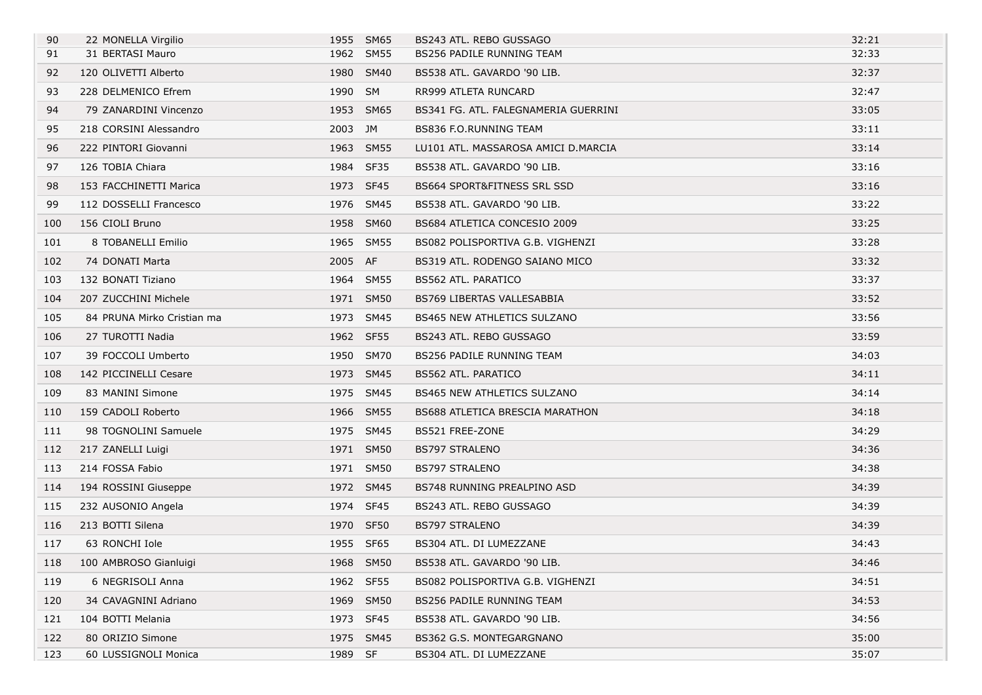| 90  | 22 MONELLA Virgilio        |           | 1955 SM65 | BS243 ATL. REBO GUSSAGO                | 32:21 |
|-----|----------------------------|-----------|-----------|----------------------------------------|-------|
| 91  | 31 BERTASI Mauro           |           | 1962 SM55 | BS256 PADILE RUNNING TEAM              | 32:33 |
| 92  | 120 OLIVETTI Alberto       |           | 1980 SM40 | BS538 ATL. GAVARDO '90 LIB.            | 32:37 |
| 93  | 228 DELMENICO Efrem        | 1990 SM   |           | RR999 ATLETA RUNCARD                   | 32:47 |
| 94  | 79 ZANARDINI Vincenzo      |           | 1953 SM65 | BS341 FG. ATL. FALEGNAMERIA GUERRINI   | 33:05 |
| 95  | 218 CORSINI Alessandro     | 2003 JM   |           | BS836 F.O.RUNNING TEAM                 | 33:11 |
| 96  | 222 PINTORI Giovanni       |           | 1963 SM55 | LU101 ATL. MASSAROSA AMICI D.MARCIA    | 33:14 |
| 97  | 126 TOBIA Chiara           |           | 1984 SF35 | BS538 ATL. GAVARDO '90 LIB.            | 33:16 |
| 98  | 153 FACCHINETTI Marica     |           | 1973 SF45 | <b>BS664 SPORT&amp;FITNESS SRL SSD</b> | 33:16 |
| 99  | 112 DOSSELLI Francesco     |           | 1976 SM45 | BS538 ATL. GAVARDO '90 LIB.            | 33:22 |
| 100 | 156 CIOLI Bruno            |           | 1958 SM60 | BS684 ATLETICA CONCESIO 2009           | 33:25 |
| 101 | 8 TOBANELLI Emilio         |           | 1965 SM55 | BS082 POLISPORTIVA G.B. VIGHENZI       | 33:28 |
| 102 | 74 DONATI Marta            | 2005 AF   |           | BS319 ATL. RODENGO SAIANO MICO         | 33:32 |
| 103 | 132 BONATI Tiziano         |           | 1964 SM55 | BS562 ATL. PARATICO                    | 33:37 |
| 104 | 207 ZUCCHINI Michele       |           | 1971 SM50 | <b>BS769 LIBERTAS VALLESABBIA</b>      | 33:52 |
| 105 | 84 PRUNA Mirko Cristian ma |           | 1973 SM45 | <b>BS465 NEW ATHLETICS SULZANO</b>     | 33:56 |
| 106 | 27 TUROTTI Nadia           |           | 1962 SF55 | BS243 ATL. REBO GUSSAGO                | 33:59 |
| 107 | 39 FOCCOLI Umberto         |           | 1950 SM70 | BS256 PADILE RUNNING TEAM              | 34:03 |
| 108 | 142 PICCINELLI Cesare      |           | 1973 SM45 | BS562 ATL. PARATICO                    | 34:11 |
| 109 | 83 MANINI Simone           |           | 1975 SM45 | <b>BS465 NEW ATHLETICS SULZANO</b>     | 34:14 |
| 110 | 159 CADOLI Roberto         |           | 1966 SM55 | BS688 ATLETICA BRESCIA MARATHON        | 34:18 |
| 111 | 98 TOGNOLINI Samuele       |           | 1975 SM45 | BS521 FREE-ZONE                        | 34:29 |
| 112 | 217 ZANELLI Luigi          |           | 1971 SM50 | <b>BS797 STRALENO</b>                  | 34:36 |
| 113 | 214 FOSSA Fabio            |           | 1971 SM50 | BS797 STRALENO                         | 34:38 |
| 114 | 194 ROSSINI Giuseppe       |           | 1972 SM45 | BS748 RUNNING PREALPINO ASD            | 34:39 |
| 115 | 232 AUSONIO Angela         |           | 1974 SF45 | BS243 ATL. REBO GUSSAGO                | 34:39 |
| 116 | 213 BOTTI Silena           |           | 1970 SF50 | <b>BS797 STRALENO</b>                  | 34:39 |
| 117 | 63 RONCHI Iole             |           | 1955 SF65 | BS304 ATL. DI LUMEZZANE                | 34:43 |
| 118 | 100 AMBROSO Gianluigi      |           | 1968 SM50 | BS538 ATL. GAVARDO '90 LIB.            | 34:46 |
| 119 | 6 NEGRISOLI Anna           |           | 1962 SF55 | BS082 POLISPORTIVA G.B. VIGHENZI       | 34:51 |
| 120 | 34 CAVAGNINI Adriano       |           | 1969 SM50 | BS256 PADILE RUNNING TEAM              | 34:53 |
| 121 | 104 BOTTI Melania          | 1973 SF45 |           | BS538 ATL. GAVARDO '90 LIB.            | 34:56 |
| 122 | 80 ORIZIO Simone           |           | 1975 SM45 | BS362 G.S. MONTEGARGNANO               | 35:00 |
| 123 | 60 LUSSIGNOLI Monica       | 1989 SF   |           | BS304 ATL. DI LUMEZZANE                | 35:07 |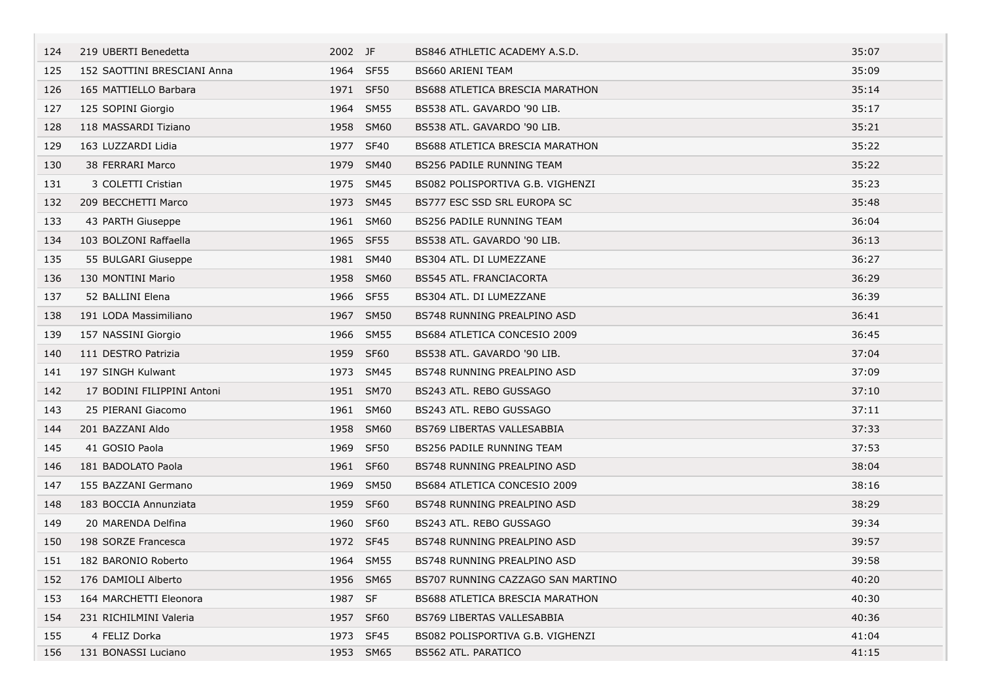| 124 | 219 UBERTI Benedetta        | 2002 JF   |           | BS846 ATHLETIC ACADEMY A.S.D.          | 35:07 |
|-----|-----------------------------|-----------|-----------|----------------------------------------|-------|
| 125 | 152 SAOTTINI BRESCIANI Anna |           | 1964 SF55 | BS660 ARIENI TEAM                      | 35:09 |
| 126 | 165 MATTIELLO Barbara       | 1971 SF50 |           | <b>BS688 ATLETICA BRESCIA MARATHON</b> | 35:14 |
| 127 | 125 SOPINI Giorgio          |           | 1964 SM55 | BS538 ATL. GAVARDO '90 LIB.            | 35:17 |
| 128 | 118 MASSARDI Tiziano        |           | 1958 SM60 | BS538 ATL. GAVARDO '90 LIB.            | 35:21 |
| 129 | 163 LUZZARDI Lidia          | 1977 SF40 |           | <b>BS688 ATLETICA BRESCIA MARATHON</b> | 35:22 |
| 130 | 38 FERRARI Marco            |           | 1979 SM40 | <b>BS256 PADILE RUNNING TEAM</b>       | 35:22 |
| 131 | 3 COLETTI Cristian          |           | 1975 SM45 | BS082 POLISPORTIVA G.B. VIGHENZI       | 35:23 |
| 132 | 209 BECCHETTI Marco         |           | 1973 SM45 | BS777 ESC SSD SRL EUROPA SC            | 35:48 |
| 133 | 43 PARTH Giuseppe           |           | 1961 SM60 | BS256 PADILE RUNNING TEAM              | 36:04 |
| 134 | 103 BOLZONI Raffaella       | 1965 SF55 |           | BS538 ATL. GAVARDO '90 LIB.            | 36:13 |
| 135 | 55 BULGARI Giuseppe         |           | 1981 SM40 | BS304 ATL. DI LUMEZZANE                | 36:27 |
| 136 | 130 MONTINI Mario           |           | 1958 SM60 | <b>BS545 ATL. FRANCIACORTA</b>         | 36:29 |
| 137 | 52 BALLINI Elena            | 1966 SF55 |           | BS304 ATL, DI LUMEZZANE                | 36:39 |
| 138 | 191 LODA Massimiliano       |           | 1967 SM50 | BS748 RUNNING PREALPINO ASD            | 36:41 |
| 139 | 157 NASSINI Giorgio         |           | 1966 SM55 | BS684 ATLETICA CONCESIO 2009           | 36:45 |
| 140 | 111 DESTRO Patrizia         | 1959 SF60 |           | BS538 ATL. GAVARDO '90 LIB.            | 37:04 |
| 141 | 197 SINGH Kulwant           |           | 1973 SM45 | BS748 RUNNING PREALPINO ASD            | 37:09 |
| 142 | 17 BODINI FILIPPINI Antoni  |           | 1951 SM70 | BS243 ATL. REBO GUSSAGO                | 37:10 |
| 143 | 25 PIERANI Giacomo          |           | 1961 SM60 | BS243 ATL. REBO GUSSAGO                | 37:11 |
| 144 | 201 BAZZANI Aldo            |           | 1958 SM60 | BS769 LIBERTAS VALLESABBIA             | 37:33 |
| 145 | 41 GOSIO Paola              | 1969 SF50 |           | <b>BS256 PADILE RUNNING TEAM</b>       | 37:53 |
| 146 | 181 BADOLATO Paola          | 1961 SF60 |           | BS748 RUNNING PREALPINO ASD            | 38:04 |
| 147 | 155 BAZZANI Germano         |           | 1969 SM50 | BS684 ATLETICA CONCESIO 2009           | 38:16 |
| 148 | 183 BOCCIA Annunziata       | 1959 SF60 |           | BS748 RUNNING PREALPINO ASD            | 38:29 |
| 149 | 20 MARENDA Delfina          | 1960 SF60 |           | BS243 ATL. REBO GUSSAGO                | 39:34 |
| 150 | 198 SORZE Francesca         | 1972 SF45 |           | BS748 RUNNING PREALPINO ASD            | 39:57 |
| 151 | 182 BARONIO Roberto         |           | 1964 SM55 | BS748 RUNNING PREALPINO ASD            | 39:58 |
| 152 | 176 DAMIOLI Alberto         |           | 1956 SM65 | BS707 RUNNING CAZZAGO SAN MARTINO      | 40:20 |
| 153 | 164 MARCHETTI Eleonora      | 1987 SF   |           | BS688 ATLETICA BRESCIA MARATHON        | 40:30 |
| 154 | 231 RICHILMINI Valeria      | 1957 SF60 |           | BS769 LIBERTAS VALLESABBIA             | 40:36 |
| 155 | 4 FELIZ Dorka               | 1973 SF45 |           | BS082 POLISPORTIVA G.B. VIGHENZI       | 41:04 |
| 156 | 131 BONASSI Luciano         |           | 1953 SM65 | BS562 ATL. PARATICO                    | 41:15 |

the control of the control of the con-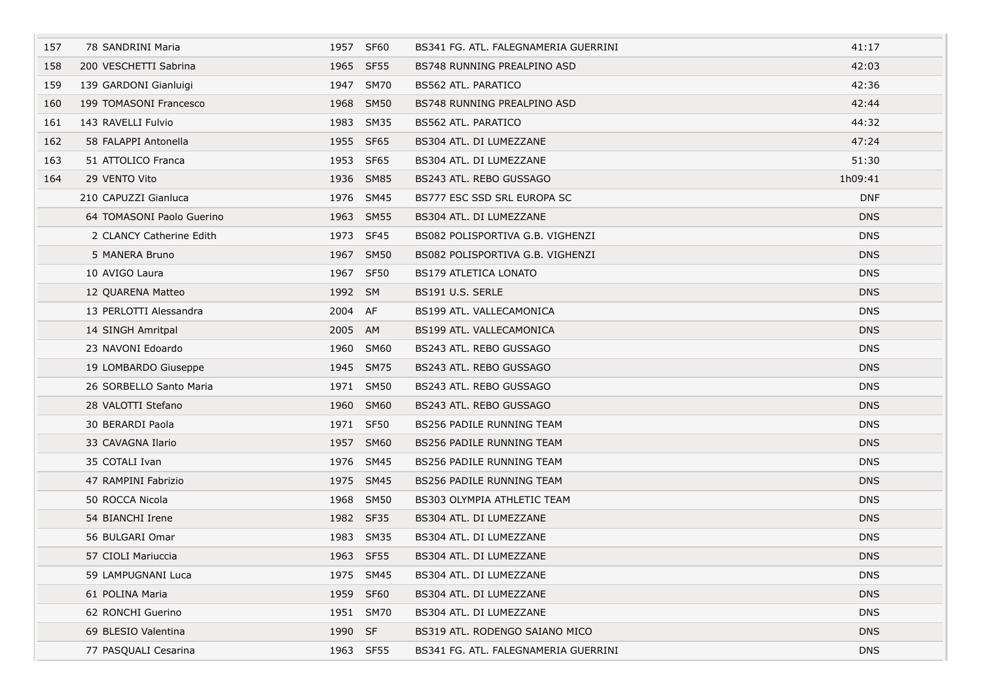| 157 | 78 SANDRINI Maria         |         | 1957 SF60 | BS341 FG. ATL. FALEGNAMERIA GUERRINI | 41:17      |  |
|-----|---------------------------|---------|-----------|--------------------------------------|------------|--|
| 158 | 200 VESCHETTI Sabrina     |         | 1965 SF55 | BS748 RUNNING PREALPINO ASD          | 42:03      |  |
| 159 | 139 GARDONI Gianluigi     |         | 1947 SM70 | BS562 ATL. PARATICO                  | 42:36      |  |
| 160 | 199 TOMASONI Francesco    |         | 1968 SM50 | BS748 RUNNING PREALPINO ASD          | 42:44      |  |
| 161 | 143 RAVELLI Fulvio        |         | 1983 SM35 | BS562 ATL. PARATICO                  | 44:32      |  |
| 162 | 58 FALAPPI Antonella      |         | 1955 SF65 | BS304 ATL. DI LUMEZZANE              | 47:24      |  |
| 163 | 51 ATTOLICO Franca        |         | 1953 SF65 | BS304 ATL. DI LUMEZZANE              | 51:30      |  |
| 164 | 29 VENTO Vito             |         | 1936 SM85 | BS243 ATL. REBO GUSSAGO              | 1h09:41    |  |
|     | 210 CAPUZZI Gianluca      |         | 1976 SM45 | BS777 ESC SSD SRL EUROPA SC          | <b>DNF</b> |  |
|     | 64 TOMASONI Paolo Guerino |         | 1963 SM55 | BS304 ATL. DI LUMEZZANE              | <b>DNS</b> |  |
|     | 2 CLANCY Catherine Edith  |         | 1973 SF45 | BS082 POLISPORTIVA G.B. VIGHENZI     | <b>DNS</b> |  |
|     | 5 MANERA Bruno            |         | 1967 SM50 | BS082 POLISPORTIVA G.B. VIGHENZI     | <b>DNS</b> |  |
|     | 10 AVIGO Laura            |         | 1967 SF50 | <b>BS179 ATLETICA LONATO</b>         | <b>DNS</b> |  |
|     | 12 QUARENA Matteo         | 1992 SM |           | BS191 U.S. SERLE                     | <b>DNS</b> |  |
|     | 13 PERLOTTI Alessandra    | 2004 AF |           | BS199 ATL, VALLECAMONICA             | <b>DNS</b> |  |
|     | 14 SINGH Amritpal         | 2005 AM |           | BS199 ATL. VALLECAMONICA             | <b>DNS</b> |  |
|     | 23 NAVONI Edoardo         |         | 1960 SM60 | BS243 ATL. REBO GUSSAGO              | <b>DNS</b> |  |
|     | 19 LOMBARDO Giuseppe      |         | 1945 SM75 | BS243 ATL. REBO GUSSAGO              | <b>DNS</b> |  |
|     | 26 SORBELLO Santo Maria   |         | 1971 SM50 | BS243 ATL. REBO GUSSAGO              | <b>DNS</b> |  |
|     | 28 VALOTTI Stefano        |         | 1960 SM60 | BS243 ATL. REBO GUSSAGO              | <b>DNS</b> |  |
|     | 30 BERARDI Paola          |         | 1971 SF50 | BS256 PADILE RUNNING TEAM            | <b>DNS</b> |  |
|     | 33 CAVAGNA Ilario         |         | 1957 SM60 | BS256 PADILE RUNNING TEAM            | <b>DNS</b> |  |
|     | 35 COTALI Ivan            |         | 1976 SM45 | BS256 PADILE RUNNING TEAM            | <b>DNS</b> |  |
|     | 47 RAMPINI Fabrizio       |         | 1975 SM45 | BS256 PADILE RUNNING TEAM            | <b>DNS</b> |  |
|     | 50 ROCCA Nicola           |         | 1968 SM50 | BS303 OLYMPIA ATHLETIC TEAM          | <b>DNS</b> |  |
|     | 54 BIANCHI Irene          |         | 1982 SF35 | BS304 ATL. DI LUMEZZANE              | <b>DNS</b> |  |
|     | 56 BULGARI Omar           |         | 1983 SM35 | BS304 ATL. DI LUMEZZANE              | <b>DNS</b> |  |
|     | 57 CIOLI Mariuccia        |         | 1963 SF55 | BS304 ATL. DI LUMEZZANE              | <b>DNS</b> |  |
|     | 59 LAMPUGNANI Luca        |         | 1975 SM45 | BS304 ATL. DI LUMEZZANE              | <b>DNS</b> |  |
|     | 61 POLINA Maria           |         | 1959 SF60 | BS304 ATL. DI LUMEZZANE              | <b>DNS</b> |  |
|     | 62 RONCHI Guerino         |         | 1951 SM70 | BS304 ATL. DI LUMEZZANE              | <b>DNS</b> |  |
|     | 69 BLESIO Valentina       | 1990 SF |           | BS319 ATL. RODENGO SAIANO MICO       | <b>DNS</b> |  |
|     | 77 PASQUALI Cesarina      |         | 1963 SF55 | BS341 FG. ATL. FALEGNAMERIA GUERRINI | <b>DNS</b> |  |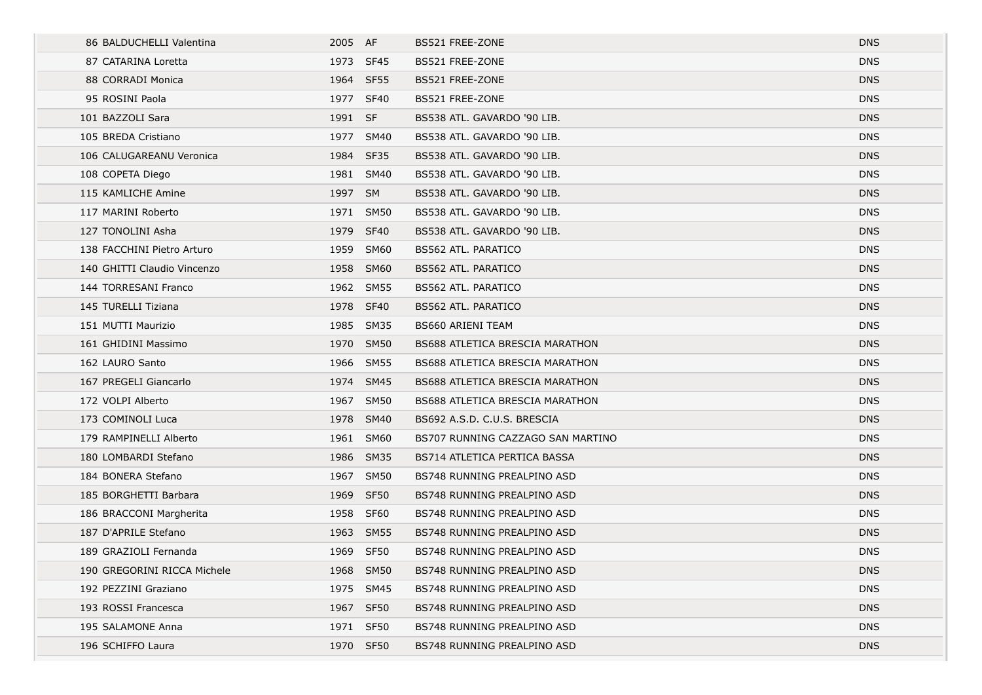| 86 BALDUCHELLI Valentina    | 2005 AF   |           | BS521 FREE-ZONE                        | <b>DNS</b> |
|-----------------------------|-----------|-----------|----------------------------------------|------------|
| 87 CATARINA Loretta         | 1973 SF45 |           | BS521 FREE-ZONE                        | <b>DNS</b> |
| 88 CORRADI Monica           | 1964 SF55 |           | BS521 FREE-ZONE                        | <b>DNS</b> |
| 95 ROSINI Paola             | 1977 SF40 |           | BS521 FREE-ZONE                        | <b>DNS</b> |
| 101 BAZZOLI Sara            | 1991 SF   |           | BS538 ATL. GAVARDO '90 LIB.            | <b>DNS</b> |
| 105 BREDA Cristiano         | 1977 SM40 |           | BS538 ATL. GAVARDO '90 LIB.            | <b>DNS</b> |
| 106 CALUGAREANU Veronica    | 1984 SF35 |           | BS538 ATL, GAVARDO '90 LIB.            | <b>DNS</b> |
| 108 COPETA Diego            | 1981 SM40 |           | BS538 ATL. GAVARDO '90 LIB.            | <b>DNS</b> |
| 115 KAMLICHE Amine          | 1997 SM   |           | BS538 ATL. GAVARDO '90 LIB.            | <b>DNS</b> |
| 117 MARINI Roberto          | 1971 SM50 |           | BS538 ATL. GAVARDO '90 LIB.            | <b>DNS</b> |
| 127 TONOLINI Asha           | 1979 SF40 |           | BS538 ATL. GAVARDO '90 LIB.            | <b>DNS</b> |
| 138 FACCHINI Pietro Arturo  | 1959 SM60 |           | BS562 ATL. PARATICO                    | <b>DNS</b> |
| 140 GHITTI Claudio Vincenzo | 1958 SM60 |           | <b>BS562 ATL. PARATICO</b>             | <b>DNS</b> |
| 144 TORRESANI Franco        | 1962 SM55 |           | BS562 ATL. PARATICO                    | <b>DNS</b> |
| 145 TURELLI Tiziana         | 1978 SF40 |           | BS562 ATL. PARATICO                    | <b>DNS</b> |
| 151 MUTTI Maurizio          | 1985 SM35 |           | <b>BS660 ARIENI TEAM</b>               | <b>DNS</b> |
| 161 GHIDINI Massimo         | 1970 SM50 |           | <b>BS688 ATLETICA BRESCIA MARATHON</b> | <b>DNS</b> |
| 162 LAURO Santo             |           | 1966 SM55 | <b>BS688 ATLETICA BRESCIA MARATHON</b> | <b>DNS</b> |
| 167 PREGELI Giancarlo       | 1974 SM45 |           | <b>BS688 ATLETICA BRESCIA MARATHON</b> | <b>DNS</b> |
| 172 VOLPI Alberto           | 1967 SM50 |           | <b>BS688 ATLETICA BRESCIA MARATHON</b> | <b>DNS</b> |
| 173 COMINOLI Luca           | 1978 SM40 |           | BS692 A.S.D. C.U.S. BRESCIA            | <b>DNS</b> |
| 179 RAMPINELLI Alberto      | 1961 SM60 |           | BS707 RUNNING CAZZAGO SAN MARTINO      | <b>DNS</b> |
| 180 LOMBARDI Stefano        |           | 1986 SM35 | BS714 ATLETICA PERTICA BASSA           | <b>DNS</b> |
| 184 BONERA Stefano          | 1967 SM50 |           | BS748 RUNNING PREALPINO ASD            | <b>DNS</b> |
| 185 BORGHETTI Barbara       | 1969 SF50 |           | BS748 RUNNING PREALPINO ASD            | <b>DNS</b> |
| 186 BRACCONI Margherita     | 1958 SF60 |           | BS748 RUNNING PREALPINO ASD            | <b>DNS</b> |
| 187 D'APRILE Stefano        |           | 1963 SM55 | BS748 RUNNING PREALPINO ASD            | <b>DNS</b> |
| 189 GRAZIOLI Fernanda       | 1969 SF50 |           | BS748 RUNNING PREALPINO ASD            | <b>DNS</b> |
| 190 GREGORINI RICCA Michele | 1968 SM50 |           | BS748 RUNNING PREALPINO ASD            | <b>DNS</b> |
| 192 PEZZINI Graziano        | 1975 SM45 |           | BS748 RUNNING PREALPINO ASD            | <b>DNS</b> |
| 193 ROSSI Francesca         | 1967 SF50 |           | BS748 RUNNING PREALPINO ASD            | <b>DNS</b> |
| 195 SALAMONE Anna           | 1971 SF50 |           | BS748 RUNNING PREALPINO ASD            | <b>DNS</b> |
| 196 SCHIFFO Laura           | 1970 SF50 |           | BS748 RUNNING PREALPINO ASD            | <b>DNS</b> |
|                             |           |           |                                        |            |